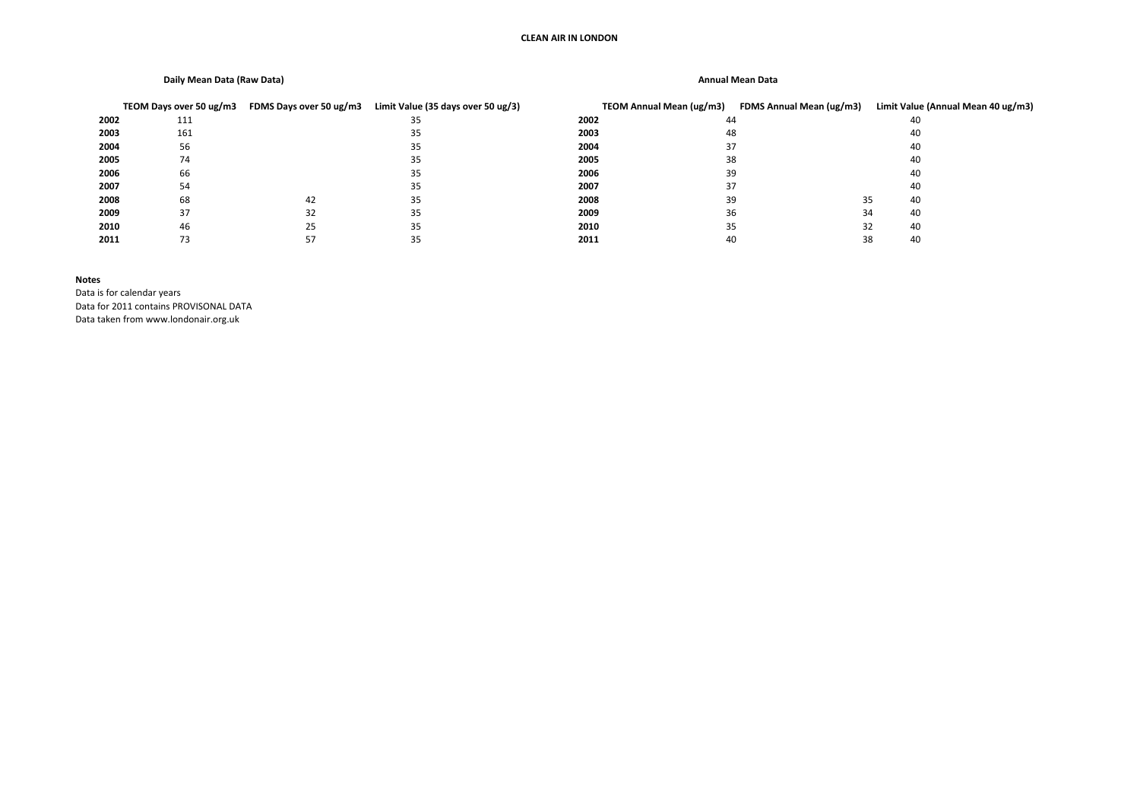### **CLEAN AIR IN LONDON**

## **Daily Mean Data (Raw Data) Annual Mean Data**

|      | TEOM Days over 50 ug/m3 | FDMS Days over 50 ug/m3 | Limit Value (35 days over 50 ug/3) |      | TEOM Annual Mean (ug/m3) | FDMS Annual Mean (ug/m3) | Limit Value (Annual Mean 40 ug/m3) |
|------|-------------------------|-------------------------|------------------------------------|------|--------------------------|--------------------------|------------------------------------|
| 2002 | 111                     |                         | 35                                 | 2002 | 44                       |                          | 40                                 |
| 2003 | 161                     |                         | 35                                 | 2003 | 48                       |                          | 40                                 |
| 2004 | 56                      |                         | 35                                 | 2004 | 37                       |                          | 40                                 |
| 2005 | 74                      |                         | 35                                 | 2005 | 38                       |                          | 40                                 |
| 2006 | 66                      |                         | 35.                                | 2006 | 39                       |                          | 40                                 |
| 2007 | 54                      |                         | 35                                 | 2007 | 37                       |                          | 40                                 |
| 2008 | 68                      | 42                      | 35.                                | 2008 | 39                       | 35                       | 40                                 |
| 2009 | 37                      | 32                      | 35                                 | 2009 | 36                       | 34                       | 40                                 |
| 2010 | 46                      | 25                      | 35                                 | 2010 | 35                       | 32                       | 40                                 |
| 2011 |                         |                         | 35                                 | 2011 | 40                       | 38                       | 40                                 |

### **Notes**

Data is for calendar years Data for 2011 contains PROVISONAL DATA Data taken from www.londonair.org.uk